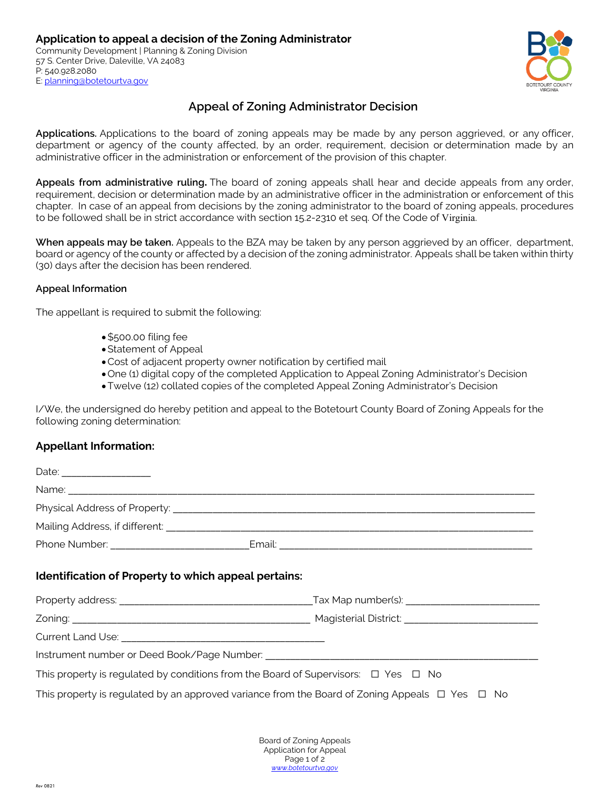

# **Appeal of Zoning Administrator Decision**

**Applications.** Applications to the board of zoning appeals may be made by any person aggrieved, or any officer, department or agency of the county affected, by an order, requirement, decision or determination made by an administrative officer in the administration or enforcement of the provision of this chapter.

**Appeals from administrative ruling.** The board of zoning appeals shall hear and decide appeals from any order, requirement, decision or determination made by an administrative officer in the administration or enforcement of this chapter. In case of an appeal from decisions by the zoning administrator to the board of zoning appeals, procedures to be followed shall be in strict accordance with section 15.2-2310 et seq. Of the Code of Virginia.

**When appeals may be taken.** Appeals to the BZA may be taken by any person aggrieved by an officer, department, board or agency of the county or affected by a decision of the zoning administrator. Appeals shall be taken within thirty (30) days after the decision has been rendered.

### **Appeal Information**

The appellant is required to submit the following:

- •\$500.00 filing fee
- •Statement of Appeal
- •Cost of adjacent property owner notification by certified mail
- •One (1) digital copy of the completed Application to Appeal Zoning Administrator's Decision
- •Twelve (12) collated copies of the completed Appeal Zoning Administrator's Decision

I/We, the undersigned do hereby petition and appeal to the Botetourt County Board of Zoning Appeals for the following zoning determination:

## **Appellant Information:**

| Identification of Property to which appeal pertains:                                         |                                                                                                          |  |  |  |  |  |
|----------------------------------------------------------------------------------------------|----------------------------------------------------------------------------------------------------------|--|--|--|--|--|
|                                                                                              |                                                                                                          |  |  |  |  |  |
|                                                                                              |                                                                                                          |  |  |  |  |  |
|                                                                                              |                                                                                                          |  |  |  |  |  |
|                                                                                              |                                                                                                          |  |  |  |  |  |
| This property is regulated by conditions from the Board of Supervisors: $\Box$ Yes $\Box$ No |                                                                                                          |  |  |  |  |  |
|                                                                                              | This property is regulated by an approved variance from the Board of Zoning Appeals $\Box$ Yes $\Box$ No |  |  |  |  |  |